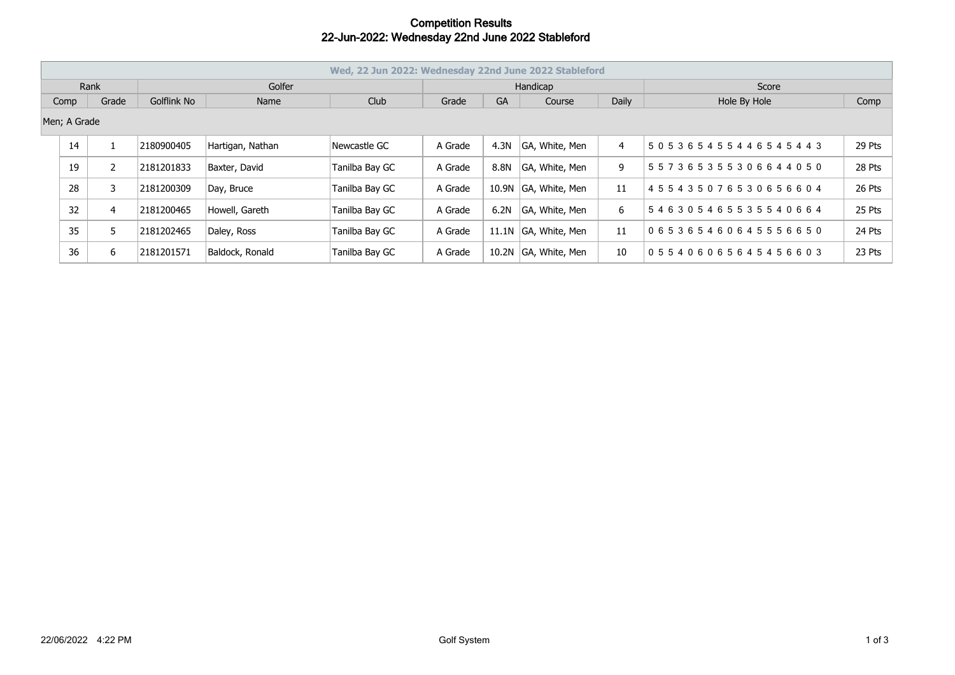## **Competition Results 22-Jun-2022: Wednesday 22nd June 2022 Stableford**

| Wed, 22 Jun 2022: Wednesday 22nd June 2022 Stableford |    |              |             |                  |                |          |           |                |       |                    |        |
|-------------------------------------------------------|----|--------------|-------------|------------------|----------------|----------|-----------|----------------|-------|--------------------|--------|
| Rank                                                  |    |              | Golfer      |                  |                | Handicap |           |                |       | Score              |        |
| Comp                                                  |    | Grade        | Golflink No | Name             | Club           | Grade    | <b>GA</b> | Course         | Daily | Hole By Hole       | Comp   |
| Men; A Grade                                          |    |              |             |                  |                |          |           |                |       |                    |        |
|                                                       | 14 | $\mathbf{1}$ | 2180900405  | Hartigan, Nathan | Newcastle GC   | A Grade  | 4.3N      | GA, White, Men | 4     | 505365455446545443 | 29 Pts |
|                                                       | 19 | 2            | 2181201833  | Baxter, David    | Tanilba Bay GC | A Grade  | 8.8N      | GA, White, Men | 9     | 557365355306644050 | 28 Pts |
|                                                       | 28 | 3            | 2181200309  | Day, Bruce       | Tanilba Bay GC | A Grade  | 10.9N     | GA, White, Men | 11    | 455435076530656604 | 26 Pts |
|                                                       | 32 | 4            | 2181200465  | Howell, Gareth   | Tanilba Bay GC | A Grade  | 6.2N      | GA, White, Men | 6     | 546305465535540664 | 25 Pts |
|                                                       | 35 | 5            | 2181202465  | Daley, Ross      | Tanilba Bay GC | A Grade  | 11.1N     | GA, White, Men | 11    | 065365460645556650 | 24 Pts |
|                                                       | 36 | 6            | 2181201571  | Baldock, Ronald  | Tanilba Bay GC | A Grade  | 10.2N     | GA, White, Men | 10    | 055406065645456603 | 23 Pts |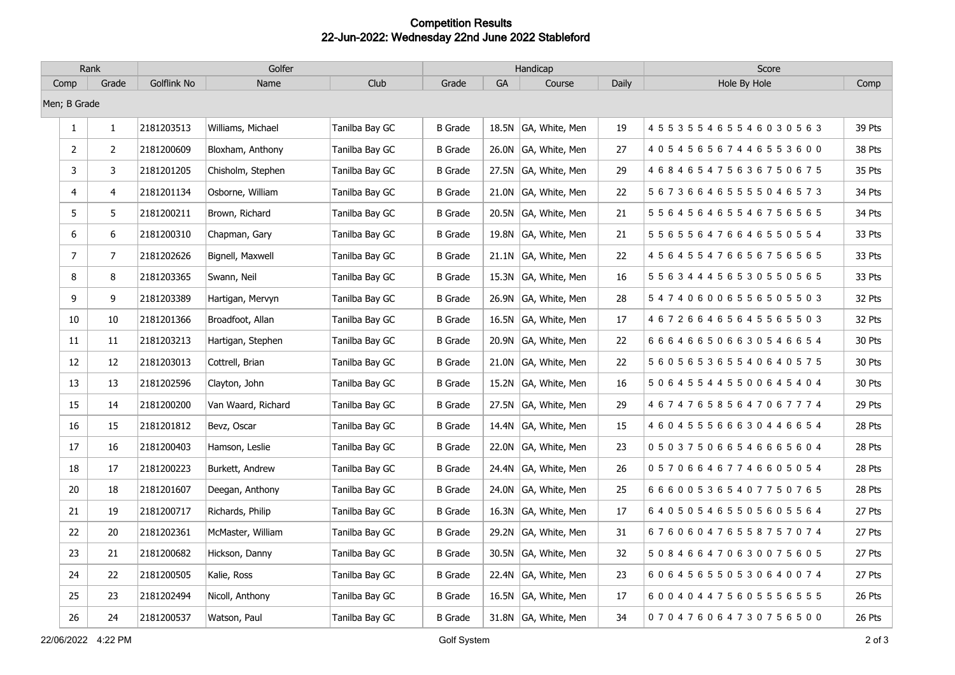## **Competition Results 22-Jun-2022: Wednesday 22nd June 2022 Stableford**

| Rank           |                | Golfer      |                    |                | Handicap       |    |                      |       | Score                               |        |
|----------------|----------------|-------------|--------------------|----------------|----------------|----|----------------------|-------|-------------------------------------|--------|
| Comp           | Grade          | Golflink No | Name               | Club           | Grade          | GA | Course               | Daily | Hole By Hole                        | Comp   |
| Men; B Grade   |                |             |                    |                |                |    |                      |       |                                     |        |
| $\mathbf{1}$   | $\mathbf{1}$   | 2181203513  | Williams, Michael  | Tanilba Bay GC | <b>B</b> Grade |    | 18.5N GA, White, Men | 19    | 455355465546030563                  | 39 Pts |
| $\overline{2}$ | 2              | 2181200609  | Bloxham, Anthony   | Tanilba Bay GC | <b>B</b> Grade |    | 26.0N GA, White, Men | 27    | 4 0 5 4 5 6 5 6 7 4 4 6 5 5 3 6 0 0 | 38 Pts |
| 3              | 3              | 2181201205  | Chisholm, Stephen  | Tanilba Bay GC | <b>B</b> Grade |    | 27.5N GA, White, Men | 29    | 4 6 8 4 6 5 4 7 5 6 3 6 7 5 0 6 7 5 | 35 Pts |
| 4              | $\overline{4}$ | 2181201134  | Osborne, William   | Tanilba Bay GC | <b>B</b> Grade |    | 21.0N GA, White, Men | 22    | 567366465555046573                  | 34 Pts |
| 5              | 5              | 2181200211  | Brown, Richard     | Tanilba Bay GC | <b>B</b> Grade |    | 20.5N GA, White, Men | 21    | 5 5 6 4 5 6 4 6 5 5 4 6 7 5 6 5 6 5 | 34 Pts |
| 6              | 6              | 2181200310  | Chapman, Gary      | Tanilba Bay GC | <b>B</b> Grade |    | 19.8N GA, White, Men | 21    | 5 5 6 5 5 6 4 7 6 6 4 6 5 5 0 5 5 4 | 33 Pts |
| $\overline{7}$ | $\overline{7}$ | 2181202626  | Bignell, Maxwell   | Tanilba Bay GC | <b>B</b> Grade |    | 21.1N GA, White, Men | 22    | 4 5 6 4 5 5 4 7 6 6 5 6 7 5 6 5 6 5 | 33 Pts |
| 8              | 8              | 2181203365  | Swann, Neil        | Tanilba Bay GC | <b>B</b> Grade |    | 15.3N GA, White, Men | 16    | 5 5 6 3 4 4 4 5 6 5 3 0 5 5 0 5 6 5 | 33 Pts |
| 9              | 9              | 2181203389  | Hartigan, Mervyn   | Tanilba Bay GC | <b>B</b> Grade |    | 26.9N GA, White, Men | 28    | 547406006556505503                  | 32 Pts |
| 10             | 10             | 2181201366  | Broadfoot, Allan   | Tanilba Bay GC | <b>B</b> Grade |    | 16.5N GA, White, Men | 17    | 4 6 7 2 6 6 4 6 5 6 4 5 5 6 5 5 0 3 | 32 Pts |
| 11             | 11             | 2181203213  | Hartigan, Stephen  | Tanilba Bay GC | <b>B</b> Grade |    | 20.9N GA, White, Men | 22    | 666466506630546654                  | 30 Pts |
| 12             | 12             | 2181203013  | Cottrell, Brian    | Tanilba Bay GC | <b>B</b> Grade |    | 21.0N GA, White, Men | 22    | 5 6 0 5 6 5 3 6 5 5 4 0 6 4 0 5 7 5 | 30 Pts |
| 13             | 13             | 2181202596  | Clayton, John      | Tanilba Bay GC | <b>B</b> Grade |    | 15.2N GA, White, Men | 16    | 5 0 6 4 5 5 4 4 5 5 0 0 6 4 5 4 0 4 | 30 Pts |
| 15             | 14             | 2181200200  | Van Waard, Richard | Tanilba Bay GC | <b>B</b> Grade |    | 27.5N GA, White, Men | 29    | 4 6 7 4 7 6 5 8 5 6 4 7 0 6 7 7 7 4 | 29 Pts |
| 16             | 15             | 2181201812  | Bevz, Oscar        | Tanilba Bay GC | <b>B</b> Grade |    | 14.4N GA, White, Men | 15    | 4 6 0 4 5 5 5 6 6 6 3 0 4 4 6 6 5 4 | 28 Pts |
| 17             | 16             | 2181200403  | Hamson, Leslie     | Tanilba Bay GC | <b>B</b> Grade |    | 22.0N GA, White, Men | 23    | 050375066546665604                  | 28 Pts |
| 18             | 17             | 2181200223  | Burkett, Andrew    | Tanilba Bay GC | <b>B</b> Grade |    | 24.4N GA, White, Men | 26    | 057066467746605054                  | 28 Pts |
| 20             | 18             | 2181201607  | Deegan, Anthony    | Tanilba Bay GC | <b>B</b> Grade |    | 24.0N GA, White, Men | 25    | 6 6 6 0 0 5 3 6 5 4 0 7 7 5 0 7 6 5 | 28 Pts |
| 21             | 19             | 2181200717  | Richards, Philip   | Tanilba Bay GC | <b>B</b> Grade |    | 16.3N GA, White, Men | 17    | 640505465505605564                  | 27 Pts |
| 22             | 20             | 2181202361  | McMaster, William  | Tanilba Bay GC | <b>B</b> Grade |    | 29.2N GA, White, Men | 31    | 6 7 6 0 6 0 4 7 6 5 5 8 7 5 7 0 7 4 | 27 Pts |
| 23             | 21             | 2181200682  | Hickson, Danny     | Tanilba Bay GC | <b>B</b> Grade |    | 30.5N GA, White, Men | 32    | 508466470630075605                  | 27 Pts |
| 24             | 22             | 2181200505  | Kalie, Ross        | Tanilba Bay GC | <b>B</b> Grade |    | 22.4N GA, White, Men | 23    | 6 0 6 4 5 6 5 5 0 5 3 0 6 4 0 0 7 4 | 27 Pts |
| 25             | 23             | 2181202494  | Nicoll, Anthony    | Tanilba Bay GC | <b>B</b> Grade |    | 16.5N GA, White, Men | 17    | 600404475605556555                  | 26 Pts |
| 26             | 24             | 2181200537  | Watson, Paul       | Tanilba Bay GC | <b>B</b> Grade |    | 31.8N GA, White, Men | 34    | 070476064730756500                  | 26 Pts |